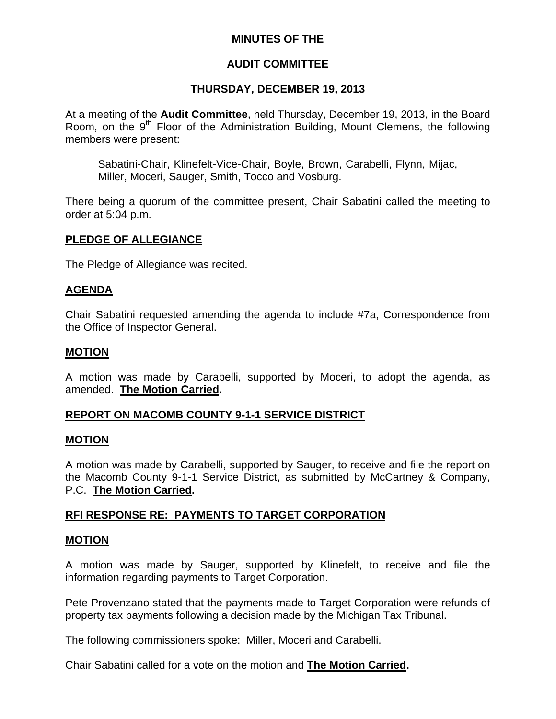# **MINUTES OF THE**

# **AUDIT COMMITTEE**

### **THURSDAY, DECEMBER 19, 2013**

At a meeting of the **Audit Committee**, held Thursday, December 19, 2013, in the Board Room, on the  $9<sup>th</sup>$  Floor of the Administration Building, Mount Clemens, the following members were present:

Sabatini-Chair, Klinefelt-Vice-Chair, Boyle, Brown, Carabelli, Flynn, Mijac, Miller, Moceri, Sauger, Smith, Tocco and Vosburg.

There being a quorum of the committee present, Chair Sabatini called the meeting to order at 5:04 p.m.

### **PLEDGE OF ALLEGIANCE**

The Pledge of Allegiance was recited.

### **AGENDA**

Chair Sabatini requested amending the agenda to include #7a, Correspondence from the Office of Inspector General.

### **MOTION**

A motion was made by Carabelli, supported by Moceri, to adopt the agenda, as amended. **The Motion Carried.** 

### **REPORT ON MACOMB COUNTY 9-1-1 SERVICE DISTRICT**

### **MOTION**

A motion was made by Carabelli, supported by Sauger, to receive and file the report on the Macomb County 9-1-1 Service District, as submitted by McCartney & Company, P.C. **The Motion Carried.**

# **RFI RESPONSE RE: PAYMENTS TO TARGET CORPORATION**

### **MOTION**

A motion was made by Sauger, supported by Klinefelt, to receive and file the information regarding payments to Target Corporation.

Pete Provenzano stated that the payments made to Target Corporation were refunds of property tax payments following a decision made by the Michigan Tax Tribunal.

The following commissioners spoke: Miller, Moceri and Carabelli.

Chair Sabatini called for a vote on the motion and **The Motion Carried.**